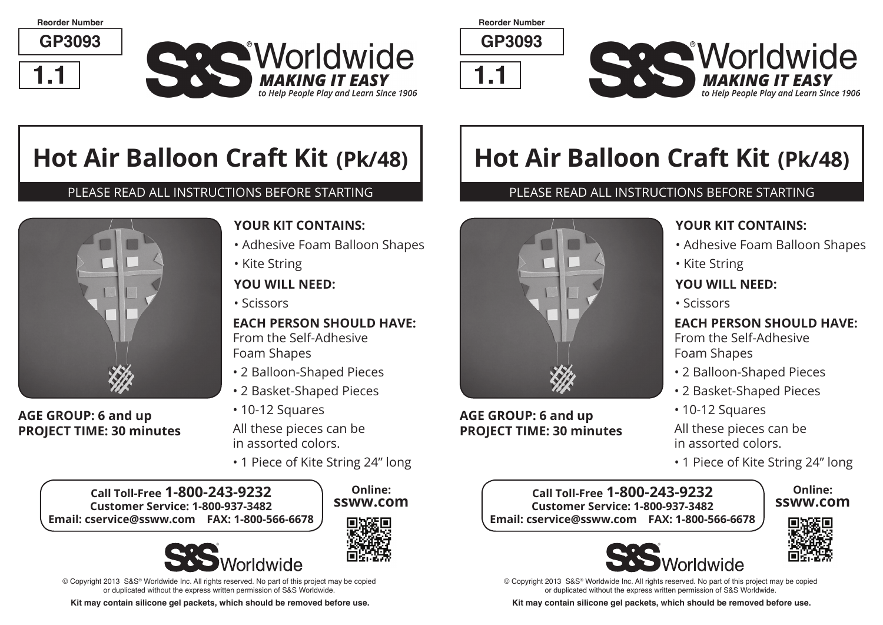**Reorder Number**

**GP3093**



**CAC Worldwide MAKING IT EASY** to Help People Play and Learn Since 1906

**Reorder Number**

**GP3093**





# **Hot Air Balloon Craft Kit (Pk/48)**

#### PLEASE READ ALL INSTRUCTIONS BEFORE STARTING



#### **AGE GROUP: 6 and up PROJECT TIME: 30 minutes**

#### **YOUR KIT CONTAINS:**

- Adhesive Foam Balloon Shapes
- Kite String

#### **YOU WILL NEED:**

• Scissors

# **EACH PERSON SHOULD HAVE:**

From the Self-Adhesive Foam Shapes

- 2 Balloon-Shaped Pieces
- 2 Basket-Shaped Pieces
- 10-12 Squares

All these pieces can be in assorted colors.

• 1 Piece of Kite String 24" long

**Call Toll-Free 1-800-243-9232 Customer Service: 1-800-937-3482 Email: cservice@ssww.com FAX: 1-800-566-6678**





**Online:**



© Copyright 2013 S&S® Worldwide Inc. All rights reserved. No part of this project may be copied or duplicated without the express written permission of S&S Worldwide.

**Kit may contain silicone gel packets, which should be removed before use.**

# **Hot Air Balloon Craft Kit (Pk/48)**

#### PLEASE READ ALL INSTRUCTIONS BEFORE STARTING



#### **AGE GROUP: 6 and up PROJECT TIME: 30 minutes**

## **YOUR KIT CONTAINS:**

- Adhesive Foam Balloon Shapes
- Kite String

#### **YOU WILL NEED:**

• Scissors

#### **EACH PERSON SHOULD HAVE:** From the Self-Adhesive Foam Shapes

- 2 Balloon-Shaped Pieces
- 2 Basket-Shaped Pieces
- 10-12 Squares

All these pieces can be in assorted colors.

• 1 Piece of Kite String 24" long

#### **Call Toll-Free 1-800-243-9232 Customer Service: 1-800-937-3482 Email: cservice@ssww.com FAX: 1-800-566-6678**



**Online: ssww.com**



© Copyright 2013 S&S® Worldwide Inc. All rights reserved. No part of this project may be copied or duplicated without the express written permission of S&S Worldwide.

**Kit may contain silicone gel packets, which should be removed before use.**